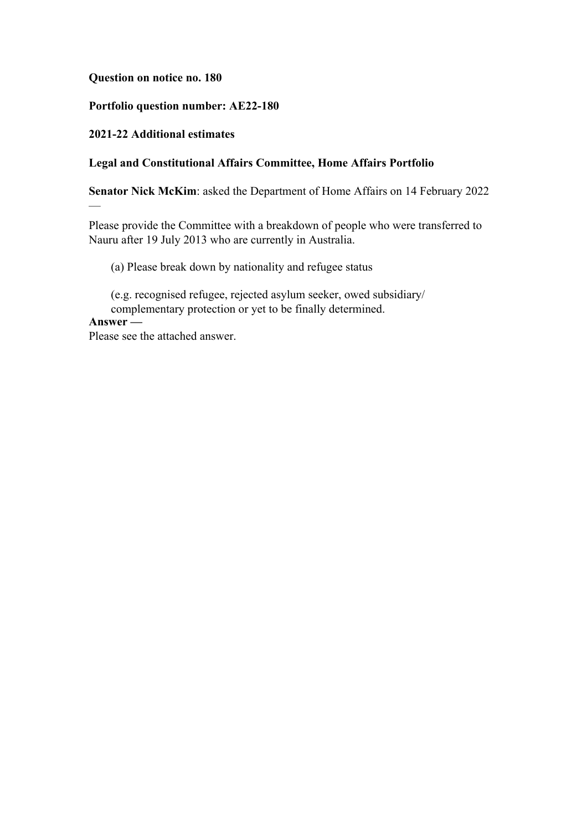**Question on notice no. 180**

## **Portfolio question number: AE22-180**

## **2021-22 Additional estimates**

## **Legal and Constitutional Affairs Committee, Home Affairs Portfolio**

**Senator Nick McKim**: asked the Department of Home Affairs on 14 February 2022

Please provide the Committee with a breakdown of people who were transferred to Nauru after 19 July 2013 who are currently in Australia.

(a) Please break down by nationality and refugee status

(e.g. recognised refugee, rejected asylum seeker, owed subsidiary/ complementary protection or yet to be finally determined.

# **Answer —**

—

Please see the attached answer.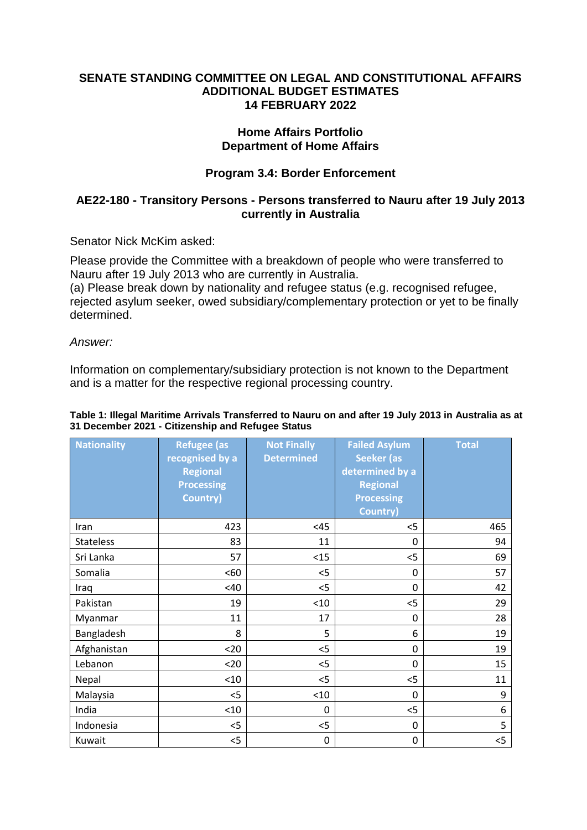### **SENATE STANDING COMMITTEE ON LEGAL AND CONSTITUTIONAL AFFAIRS ADDITIONAL BUDGET ESTIMATES 14 FEBRUARY 2022**

## **Home Affairs Portfolio Department of Home Affairs**

## **Program 3.4: Border Enforcement**

## **AE22-180 - Transitory Persons - Persons transferred to Nauru after 19 July 2013 currently in Australia**

Senator Nick McKim asked:

Please provide the Committee with a breakdown of people who were transferred to Nauru after 19 July 2013 who are currently in Australia.

(a) Please break down by nationality and refugee status (e.g. recognised refugee, rejected asylum seeker, owed subsidiary/complementary protection or yet to be finally determined.

*Answer:*

Information on complementary/subsidiary protection is not known to the Department and is a matter for the respective regional processing country.

#### **Table 1: Illegal Maritime Arrivals Transferred to Nauru on and after 19 July 2013 in Australia as at 31 December 2021 - Citizenship and Refugee Status**

| <b>Nationality</b> | <b>Refugee (as</b> | <b>Not Finally</b> | <b>Failed Asylum</b> | <b>Total</b> |
|--------------------|--------------------|--------------------|----------------------|--------------|
|                    | recognised by a    | <b>Determined</b>  | <b>Seeker (as</b>    |              |
|                    | <b>Regional</b>    |                    | determined by a      |              |
|                    | <b>Processing</b>  |                    | <b>Regional</b>      |              |
|                    | Country)           |                    | <b>Processing</b>    |              |
|                    |                    |                    | <b>Country)</b>      |              |
| Iran               | 423                | <45                | $<$ 5                | 465          |
| <b>Stateless</b>   | 83                 | 11                 | 0                    | 94           |
| Sri Lanka          | 57                 | <15                | $<$ 5                | 69           |
| Somalia            | <60                | $<$ 5              | 0                    | 57           |
| Iraq               | <40                | $<$ 5              | $\mathbf 0$          | 42           |
| Pakistan           | 19                 | < 10               | $<$ 5                | 29           |
| Myanmar            | 11                 | 17                 | 0                    | 28           |
| Bangladesh         | 8                  | 5                  | 6                    | 19           |
| Afghanistan        | $20$               | $<$ 5              | 0                    | 19           |
| Lebanon            | $20$               | $<$ 5              | 0                    | 15           |
| Nepal              | < 10               | $<$ 5              | $<$ 5                | 11           |
| Malaysia           | $<$ 5              | < 10               | $\mathbf 0$          | 9            |
| India              | < 10               | 0                  | 5                    | 6            |
| Indonesia          | $<$ 5              | $<$ 5              | 0                    | 5            |
| Kuwait             | $<$ 5              | $\pmb{0}$          | $\mathbf 0$          | $<$ 5        |